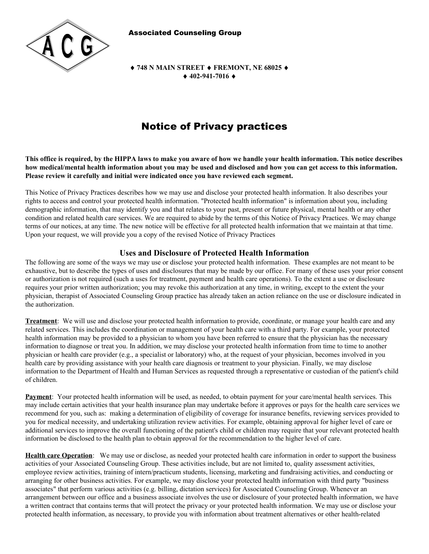Associated Counseling Group



 **748 N MAIN STREET FREMONT, NE 68025 402-941-7016** 

# Notice of Privacy practices

**This office is required, by the HIPPA laws to make you aware of how we handle your health information. This notice describes how medical/mental health information about you may be used and disclosed and how you can get access to this information. Please review it carefully and initial were indicated once you have reviewed each segment.** 

This Notice of Privacy Practices describes how we may use and disclose your protected health information. It also describes your rights to access and control your protected health information. "Protected health information" is information about you, including demographic information, that may identify you and that relates to your past, present or future physical, mental health or any other condition and related health care services. We are required to abide by the terms of this Notice of Privacy Practices. We may change terms of our notices, at any time. The new notice will be effective for all protected health information that we maintain at that time. Upon your request, we will provide you a copy of the revised Notice of Privacy Practices

# **Uses and Disclosure of Protected Health Information**

The following are some of the ways we may use or disclose your protected health information. These examples are not meant to be exhaustive, but to describe the types of uses and disclosures that may be made by our office. For many of these uses your prior consent or authorization is not required (such a uses for treatment, payment and health care operations). To the extent a use or disclosure requires your prior written authorization; you may revoke this authorization at any time, in writing, except to the extent the your physician, therapist of Associated Counseling Group practice has already taken an action reliance on the use or disclosure indicated in the authorization.

**Treatment**: We will use and disclose your protected health information to provide, coordinate, or manage your health care and any related services. This includes the coordination or management of your health care with a third party. For example, your protected health information may be provided to a physician to whom you have been referred to ensure that the physician has the necessary information to diagnose or treat you. In addition, we may disclose your protected health information from time to time to another physician or health care provider (e.g., a specialist or laboratory) who, at the request of your physician, becomes involved in you health care by providing assistance with your health care diagnosis or treatment to your physician. Finally, we may disclose information to the Department of Health and Human Services as requested through a representative or custodian of the patient's child of children.

**Payment**: Your protected health information will be used, as needed, to obtain payment for your care/mental health services. This may include certain activities that your health insurance plan may undertake before it approves or pays for the health care services we recommend for you, such as: making a determination of eligibility of coverage for insurance benefits, reviewing services provided to you for medical necessity, and undertaking utilization review activities. For example, obtaining approval for higher level of care or additional services to improve the overall functioning of the patient's child or children may require that your relevant protected health information be disclosed to the health plan to obtain approval for the recommendation to the higher level of care.

**Health care Operation**: We may use or disclose, as needed your protected health care information in order to support the business activities of your Associated Counseling Group. These activities include, but are not limited to, quality assessment activities, employee review activities, training of intern/practicum students, licensing, marketing and fundraising activities, and conducting or arranging for other business activities. For example, we may disclose your protected health information with third party "business associates" that perform various activities (e.g. billing, dictation services) for Associated Counseling Group. Whenever an arrangement between our office and a business associate involves the use or disclosure of your protected health information, we have a written contract that contains terms that will protect the privacy or your protected health information. We may use or disclose your protected health information, as necessary, to provide you with information about treatment alternatives or other health-related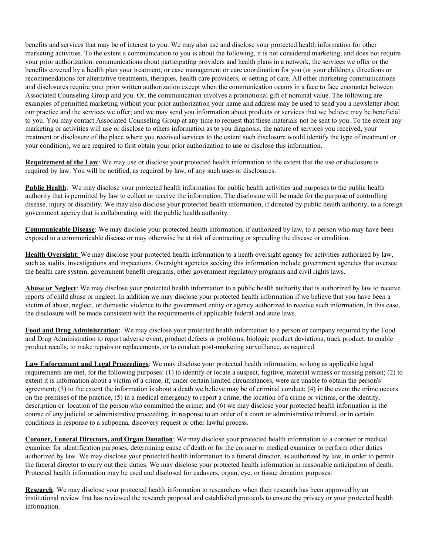benefits and services that may be of interest to you. We may also use and disclose your protected health information for other marketing activities. To the extent a communication to you is about the following, it is not considered marketing, and does not require your prior authorization: communications about participating providers and health plans in a network, the services we offer or the benefits covered by a health plan your treatment; or case management or care coordination for you (or your children), directions or recommendations for alternative treatments, therapies, health care providers, or setting of care. All other marketing communications and disclosures require your prior written authorization except when the communication occurs in a face to face encounter between Associated Counseling Group and you. Or, the communication involves a promotional gift of nominal value. The following are examples of permitted marketing without your prior authorization your name and address may be used to send you a newsletter about our practice and the services we offer; and we may send you information about products or services that we believe may be beneficial to you. You may contact Associated Counseling Group at any time to request that these materials not be sent to you. To the extent any marketing or activities will use or disclose to others information as to you diagnosis, the nature of services you received, your treatment or disclosure of the place where you received services to the extent such disclosure would identify the type of treatment or your condition), we are required to first obtain your prior authorization to use or disclose this information.

**Requirement of the Law**: We may use or disclose your protected health information to the extent that the use or disclosure is required by law. You will be notified, as required by law, of any such uses or disclosures.

**Public Health**: We may disclose your protected health information for public health activities and purposes to the public health authority that is permitted by law to collect or receive the information. The disclosure will be made for the purpose of controlling disease, injury or disability. We may also disclose your protected health information, if directed by public health authority, to a foreign government agency that is collaborating with the public health authority.

**Communicable Disease**: We may disclose your protected health information, if authorized by law, to a person who may have been exposed to a communicable disease or may otherwise be at risk of contracting or spreading the disease or condition.

**Health Oversight**: We may disclose your protected health information to a heath oversight agency for activities authorized by law, such as audits, investigations and inspections. Oversight agencies seeking this information include government agencies that oversee the health care system, government benefit programs, other government regulatory programs and civil rights laws.

**Abuse or Neglect**: We may disclose your protected health information to a public health authority that is authorized by law to receive reports of child abuse or neglect. In addition we may disclose your protected health information if we believe that you have been a victim of abuse, neglect, or domestic violence to the government entity or agency authorized to receive such information, In this case, the disclosure will be made consistent with the requirements of applicable federal and state laws.

**Food and Drug Administration**: We may disclose your protected health information to a person or company required by the Food and Drug Administration to report adverse event, product defects or problems, biologic product deviations, track product; to enable product recalls, to make repairs or replacements, or to conduct post-marketing surveillance, as required.

**Law Enforcement and Legal Proceedings**: We may disclose your protected health information, so long as applicable legal requirements are met, for the following purposes: (1) to identify or locate a suspect, fugitive, material witness or missing person; (2) to extent it is information about a victim of a crime, if, under certain limited circumstances, were are unable to obtain the person's agreement; (3) to the extent the information is about a death we believe may be of criminal conduct; (4) in the event the crime occurs on the premises of the practice, (5) in a medical emergency to report a crime, the location of a crime or victims, or the identity, description or location of the person who committed the crime; and (6) we may disclose your protected health information in the course of any judicial or administrative proceeding, in response to an order of a court or administrative tribunal, or in certain conditions in response to a subpoena, discovery request or other lawful process.

**Coroner, Funeral Directors, and Organ Donation**: We may disclose your protected health information to a coroner or medical examiner for identification purposes, determining cause of death or for the coroner or medical examiner to perform other duties authorized by law. We may disclose your protected health information to a funeral director, as authorized by law, in order to permit the funeral director to carry out their duties. We may disclose your protected health information in reasonable anticipation of death. Protected health information may be used and disclosed for cadavers, organ, eye, or tissue donation purposes.

**Research:** We may disclose your protected health information to researchers when their research has been approved by an institutional review that has reviewed the research proposal and established protocols to ensure the privacy or your protected health information.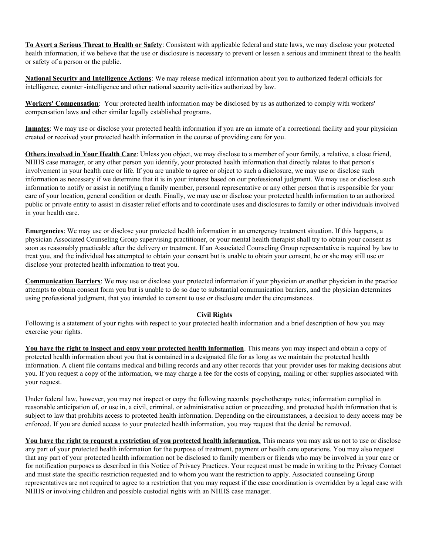**To Avert a Serious Threat to Health or Safety**: Consistent with applicable federal and state laws, we may disclose your protected health information, if we believe that the use or disclosure is necessary to prevent or lessen a serious and imminent threat to the health or safety of a person or the public.

**National Security and Intelligence Actions**: We may release medical information about you to authorized federal officials for intelligence, counter -intelligence and other national security activities authorized by law.

**Workers' Compensation**: Your protected health information may be disclosed by us as authorized to comply with workers' compensation laws and other similar legally established programs.

**Inmates**: We may use or disclose your protected health information if you are an inmate of a correctional facility and your physician created or received your protected health information in the course of providing care for you.

**Others involved in Your Health Care**: Unless you object, we may disclose to a member of your family, a relative, a close friend, NHHS case manager, or any other person you identify, your protected health information that directly relates to that person's involvement in your health care or life. If you are unable to agree or object to such a disclosure, we may use or disclose such information as necessary if we determine that it is in your interest based on our professional judgment. We may use or disclose such information to notify or assist in notifying a family member, personal representative or any other person that is responsible for your care of your location, general condition or death. Finally, we may use or disclose your protected health information to an authorized public or private entity to assist in disaster relief efforts and to coordinate uses and disclosures to family or other individuals involved in your health care.

**Emergencies**: We may use or disclose your protected health information in an emergency treatment situation. If this happens, a physician Associated Counseling Group supervising practitioner, or your mental health therapist shall try to obtain your consent as soon as reasonably practicable after the delivery or treatment. If an Associated Counseling Group representative is required by law to treat you, and the individual has attempted to obtain your consent but is unable to obtain your consent, he or she may still use or disclose your protected health information to treat you.

**Communication Barriers**: We may use or disclose your protected information if your physician or another physician in the practice attempts to obtain consent form you but is unable to do so due to substantial communication barriers, and the physician determines using professional judgment, that you intended to consent to use or disclosure under the circumstances.

## **Civil Rights**

Following is a statement of your rights with respect to your protected health information and a brief description of how you may exercise your rights.

**You have the right to inspect and copy your protected health information**. This means you may inspect and obtain a copy of protected health information about you that is contained in a designated file for as long as we maintain the protected health information. A client file contains medical and billing records and any other records that your provider uses for making decisions abut you. If you request a copy of the information, we may charge a fee for the costs of copying, mailing or other supplies associated with your request.

Under federal law, however, you may not inspect or copy the following records: psychotherapy notes; information complied in reasonable anticipation of, or use in, a civil, criminal, or administrative action or proceeding, and protected health information that is subject to law that prohibits access to protected health information. Depending on the circumstances, a decision to deny access may be enforced. If you are denied access to your protected health information, you may request that the denial be removed.

You have the right to request a restriction of you protected health information. This means you may ask us not to use or disclose any part of your protected health information for the purpose of treatment, payment or health care operations. You may also request that any part of your protected health information not be disclosed to family members or friends who may be involved in your care or for notification purposes as described in this Notice of Privacy Practices. Your request must be made in writing to the Privacy Contact and must state the specific restriction requested and to whom you want the restriction to apply. Associated counseling Group representatives are not required to agree to a restriction that you may request if the case coordination is overridden by a legal case with NHHS or involving children and possible custodial rights with an NHHS case manager.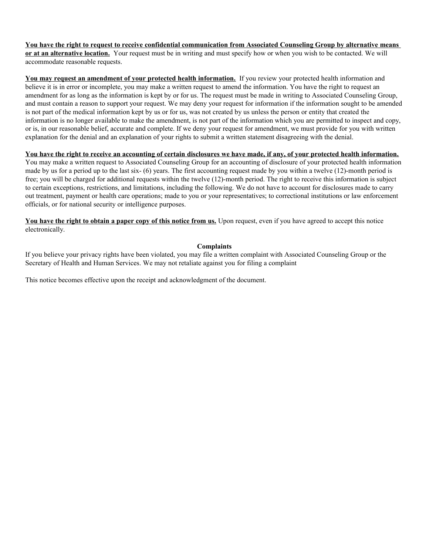**You have the right to request to receive confidential communication from Associated Counseling Group by alternative means or at an alternative location.** Your request must be in writing and must specify how or when you wish to be contacted. We will accommodate reasonable requests.

You may request an amendment of your protected health information. If you review your protected health information and believe it is in error or incomplete, you may make a written request to amend the information. You have the right to request an amendment for as long as the information is kept by or for us. The request must be made in writing to Associated Counseling Group, and must contain a reason to support your request. We may deny your request for information if the information sought to be amended is not part of the medical information kept by us or for us, was not created by us unless the person or entity that created the information is no longer available to make the amendment, is not part of the information which you are permitted to inspect and copy, or is, in our reasonable belief, accurate and complete. If we deny your request for amendment, we must provide for you with written explanation for the denial and an explanation of your rights to submit a written statement disagreeing with the denial.

## **You have the right to receive an accounting of certain disclosures we have made, if any, of your protected health information.**

You may make a written request to Associated Counseling Group for an accounting of disclosure of your protected health information made by us for a period up to the last six- (6) years. The first accounting request made by you within a twelve (12)-month period is free; you will be charged for additional requests within the twelve (12)-month period. The right to receive this information is subject to certain exceptions, restrictions, and limitations, including the following. We do not have to account for disclosures made to carry out treatment, payment or health care operations; made to you or your representatives; to correctional institutions or law enforcement officials, or for national security or intelligence purposes.

**You have the right to obtain a paper copy of this notice from us.** Upon request, even if you have agreed to accept this notice electronically.

#### **Complaints**

If you believe your privacy rights have been violated, you may file a written complaint with Associated Counseling Group or the Secretary of Health and Human Services. We may not retaliate against you for filing a complaint

This notice becomes effective upon the receipt and acknowledgment of the document.